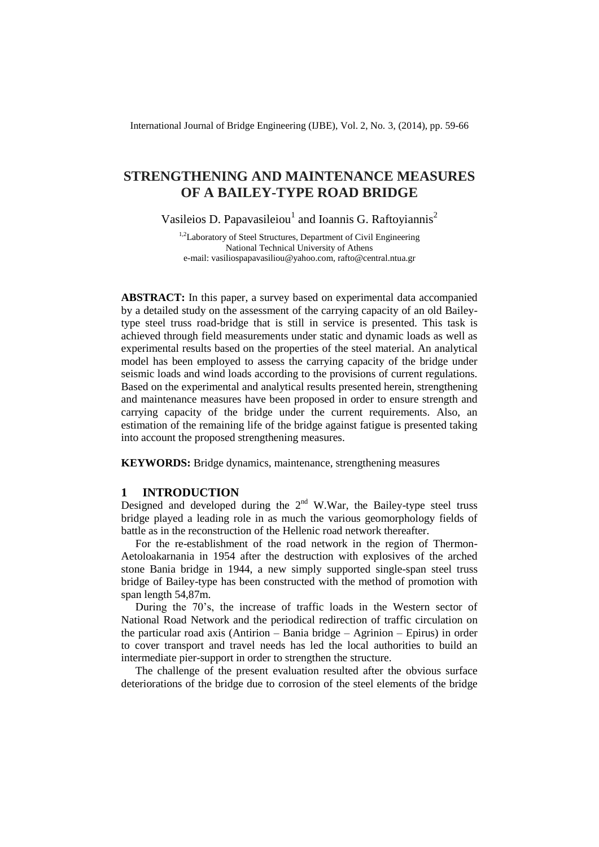International Journal of Bridge Engineering (IJBE), Vol. 2, No. 3, (2014), pp. 59-66

# **STRENGTHENING AND MAINTENANCE MEASURES OF A BAILEY-TYPE ROAD BRIDGE**

Vasileios D. Papavasileiou<sup>1</sup> and Ioannis G. Raftoyiannis<sup>2</sup>

<sup>1,2</sup>Laboratory of Steel Structures, Department of Civil Engineering National Technical University of Athens e-mail: [vasiliospapavasiliou@yahoo.com,](mailto:vasiliospapavasiliou@yahoo.com) [rafto@central.ntua.gr](mailto:rafto@central.ntua.gr)

**ABSTRACT:** In this paper, a survey based on experimental data accompanied by a detailed study on the assessment of the carrying capacity of an old Baileytype steel truss road-bridge that is still in service is presented. This task is achieved through field measurements under static and dynamic loads as well as experimental results based on the properties of the steel material. An analytical model has been employed to assess the carrying capacity of the bridge under seismic loads and wind loads according to the provisions of current regulations. Based on the experimental and analytical results presented herein, strengthening and maintenance measures have been proposed in order to ensure strength and carrying capacity of the bridge under the current requirements. Also, an estimation of the remaining life of the bridge against fatigue is presented taking into account the proposed strengthening measures.

**KEYWORDS:** Bridge dynamics, maintenance, strengthening measures

### **1 INTRODUCTION**

Designed and developed during the  $2<sup>nd</sup>$  W.War, the Bailey-type steel truss bridge played a leading role in as much the various geomorphology fields of battle as in the reconstruction of the Hellenic road network thereafter.

For the re-establishment of the road network in the region of Thermon-Aetoloakarnania in 1954 after the destruction with explosives of the arched stone Bania bridge in 1944, a new simply supported single-span steel truss bridge of Bailey-type has been constructed with the method of promotion with span length 54,87m.

During the 70's, the increase of traffic loads in the Western sector of National Road Network and the periodical redirection of traffic circulation on the particular road axis (Antirion – Bania bridge – Agrinion – Epirus) in order to cover transport and travel needs has led the local authorities to build an intermediate pier-support in order to strengthen the structure.

The challenge of the present evaluation resulted after the obvious surface deteriorations of the bridge due to corrosion of the steel elements of the bridge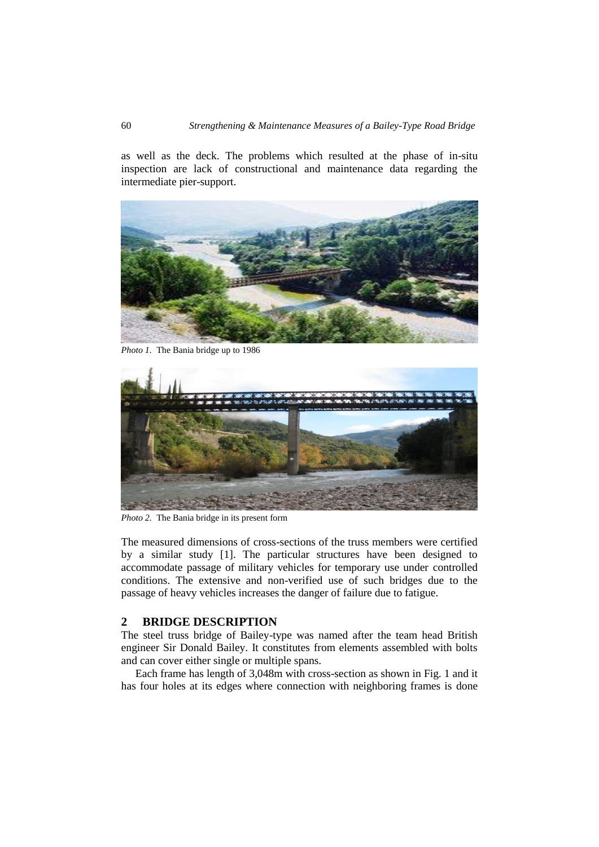as well as the deck. The problems which resulted at the phase of in-situ inspection are lack of constructional and maintenance data regarding the intermediate pier-support.



*Photo 1.* The Bania bridge up to 1986



*Photo 2.* The Bania bridge in its present form

The measured dimensions of cross-sections of the truss members were certified by a similar study [1]. The particular structures have been designed to accommodate passage of military vehicles for temporary use under controlled conditions. The extensive and non-verified use of such bridges due to the passage of heavy vehicles increases the danger of failure due to fatigue.

## **2 BRIDGE DESCRIPTION**

The steel truss bridge of Bailey-type was named after the team head British engineer Sir Donald Bailey. It constitutes from elements assembled with bolts and can cover either single or multiple spans.

Each frame has length of 3,048m with cross-section as shown in Fig. 1 and it has four holes at its edges where connection with neighboring frames is done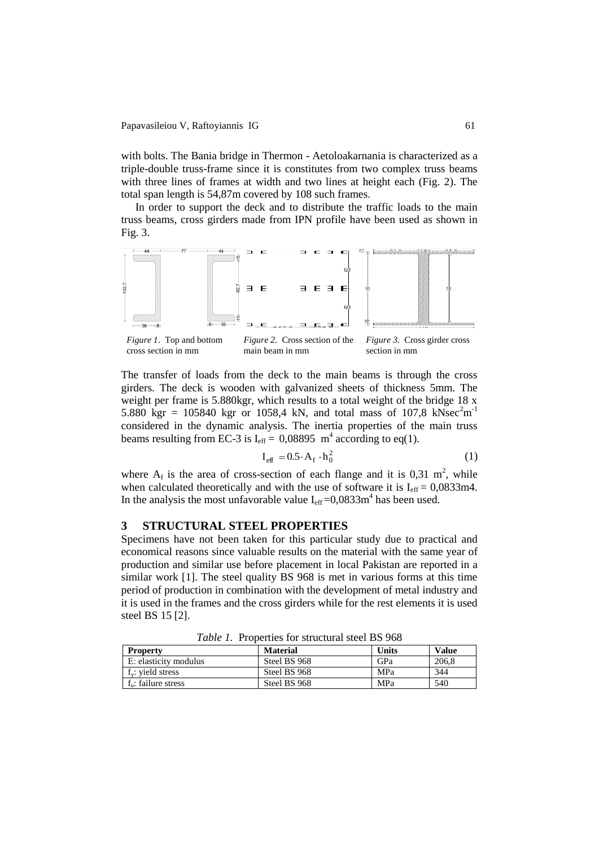#### Papavasileiou V, Raftoyiannis IG 61

with bolts. The Bania bridge in Thermon - Aetoloakarnania is characterized as a triple-double truss-frame since it is constitutes from two complex truss beams with three lines of frames at width and two lines at height each (Fig. 2). The total span length is 54,87m covered by 108 such frames.

In order to support the deck and to distribute the traffic loads to the main truss beams, cross girders made from IPN profile have been used as shown in Fig. 3.



The transfer of loads from the deck to the main beams is through the cross girders. The deck is wooden with galvanized sheets of thickness 5mm. The weight per frame is 5.880kgr, which results to a total weight of the bridge 18 x 5.880 kgr = 105840 kgr or 1058,4 kN, and total mass of 107,8 kNsec<sup>2</sup>m<sup>-1</sup> considered in the dynamic analysis. The inertia properties of the main truss beams resulting from EC-3 is  $I_{\text{eff}} = 0.08895 \text{ m}^4$  according to eq(1).

$$
\mathbf{I}_{\text{eff}} = 0.5 \cdot \mathbf{A}_{\text{f}} \cdot \mathbf{h}_0^2 \tag{1}
$$

where  $A_f$  is the area of cross-section of each flange and it is 0,31 m<sup>2</sup>, while when calculated theoretically and with the use of software it is  $I_{\text{eff}} = 0.0833 \text{m}4$ . In the analysis the most unfavorable value  $I_{\text{eff}} = 0.0833 \text{m}^4$  has been used.

### **3 STRUCTURAL STEEL PROPERTIES**

Specimens have not been taken for this particular study due to practical and economical reasons since valuable results on the material with the same year of production and similar use before placement in local Pakistan are reported in a similar work [1]. The steel quality BS 968 is met in various forms at this time period of production in combination with the development of metal industry and it is used in the frames and the cross girders while for the rest elements it is used steel BS 15 [2].

| <b>Property</b>            | <b>Material</b> | Units | <b>Value</b> |
|----------------------------|-----------------|-------|--------------|
| E: elasticity modulus      | Steel BS 968    | GPa   | 206.8        |
| $f_{\rm v}$ : yield stress | Steel BS 968    | MPa   | 344          |
| $f_n$ : failure stress     | Steel BS 968    | MPa   | 540          |

*Table 1.* Properties for structural steel BS 968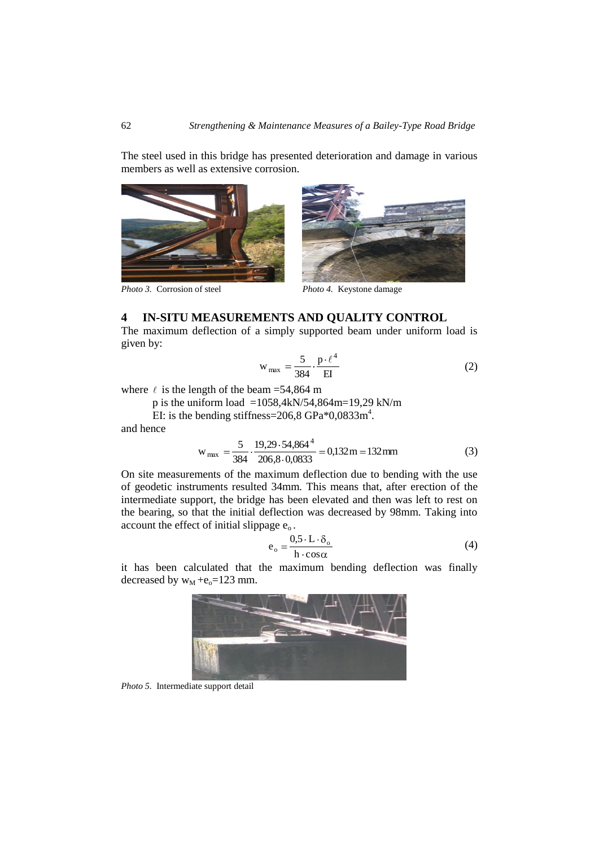The steel used in this bridge has presented deterioration and damage in various members as well as extensive corrosion.





*Photo 3.* Corrosion of steel *Photo 4.* Keystone damage

## **4 IN-SITU MEASUREMENTS AND QUALITY CONTROL**

The maximum deflection of a simply supported beam under uniform load is given by:

$$
w_{max} = \frac{5}{384} \cdot \frac{p \cdot \ell^4}{EI} \tag{2}
$$

where  $\ell$  is the length of the beam = 54,864 m

p is the uniform load =1058,4kN/54,864m=19,29 kN/m

EI: is the bending stiffness= $206,8$  GPa $*0,0833$ m<sup>4</sup>.

and hence

$$
w_{max} = \frac{5}{384} \cdot \frac{19,29 \cdot 54,864^4}{206,8 \cdot 0,0833} = 0,132 m = 132 mm
$$
 (3)

On site measurements of the maximum deflection due to bending with the use of geodetic instruments resulted 34mm. This means that, after erection of the intermediate support, the bridge has been elevated and then was left to rest on the bearing, so that the initial deflection was decreased by 98mm. Taking into account the effect of initial slippage  $e_0$ .

$$
e_o = \frac{0.5 \cdot L \cdot \delta_o}{h \cdot \cos \alpha} \tag{4}
$$

it has been calculated that the maximum bending deflection was finally decreased by  $w_M + e_0 = 123$  mm.



*Photo 5.* Intermediate support detail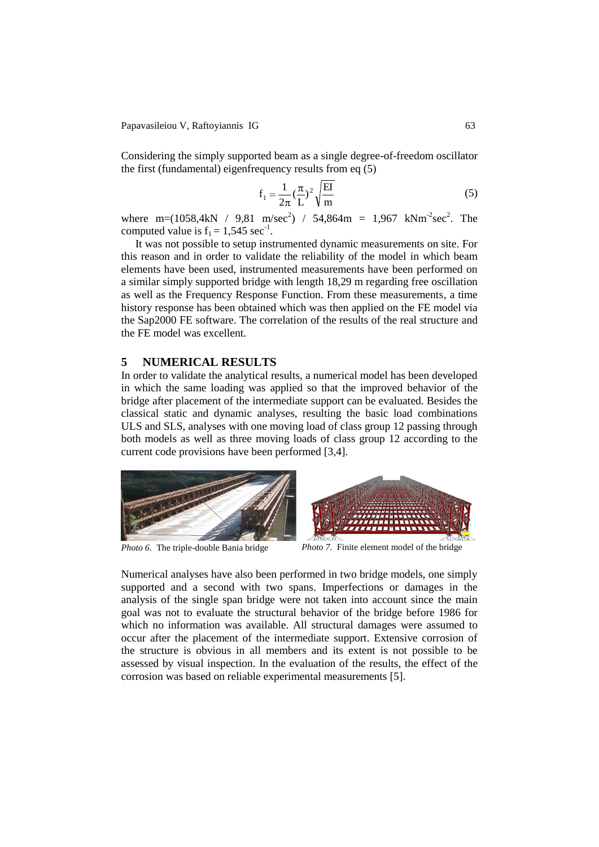Papavasileiou V, Raftoyiannis IG 63

Considering the simply supported beam as a single degree-of-freedom oscillator the first (fundamental) eigenfrequency results from eq (5)

$$
f_1 = \frac{1}{2\pi} \left(\frac{\pi}{L}\right)^2 \sqrt{\frac{EI}{m}}
$$
\n<sup>(5)</sup>

where m=(1058,4kN / 9,81 m/sec<sup>2</sup>) / 54,864m = 1,967 kNm<sup>-2</sup>sec<sup>2</sup>. The computed value is  $f_1 = 1,545 \text{ sec}^{-1}$ .

It was not possible to setup instrumented dynamic measurements on site. For this reason and in order to validate the reliability of the model in which beam elements have been used, instrumented measurements have been performed on a similar simply supported bridge with length 18,29 m regarding free oscillation as well as the Frequency Response Function. From these measurements, a time history response has been obtained which was then applied on the FE model via the Sap2000 FE software. The correlation of the results of the real structure and the FE model was excellent.

### **5 NUMERICAL RESULTS**

In order to validate the analytical results, a numerical model has been developed in which the same loading was applied so that the improved behavior of the bridge after placement of the intermediate support can be evaluated. Besides the classical static and dynamic analyses, resulting the basic load combinations ULS and SLS, analyses with one moving load of class group 12 passing through both models as well as three moving loads of class group 12 according to the current code provisions have been performed [3,4].



*Photo 6.* The triple-double Bania bridge *Photo 7.* Finite element model of the bridge

Numerical analyses have also been performed in two bridge models, one simply supported and a second with two spans. Imperfections or damages in the analysis of the single span bridge were not taken into account since the main goal was not to evaluate the structural behavior of the bridge before 1986 for which no information was available. All structural damages were assumed to occur after the placement of the intermediate support. Extensive corrosion of the structure is obvious in all members and its extent is not possible to be assessed by visual inspection. In the evaluation of the results, the effect of the corrosion was based on reliable experimental measurements [5].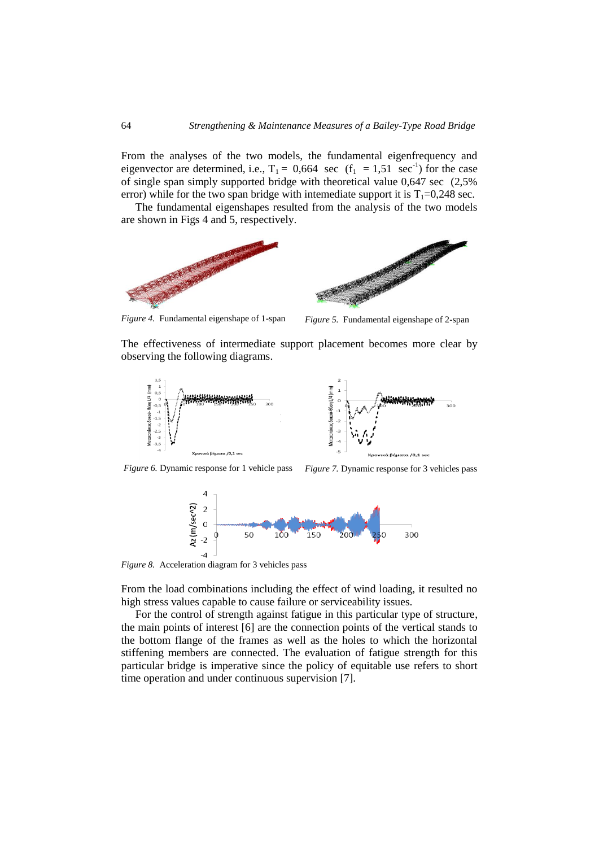From the analyses of the two models, the fundamental eigenfrequency and eigenvector are determined, i.e.,  $T_1 = 0.664 \text{ sec } (f_1 = 1.51 \text{ sec}^{-1})$  for the case of single span simply supported bridge with theoretical value 0,647 sec (2,5% error) while for the two span bridge with intemediate support it is  $T_1=0.248$  sec.

The fundamental eigenshapes resulted from the analysis of the two models are shown in Figs 4 and 5, respectively.





*Figure 4.* Fundamental eigenshape of 1-span *Figure 5.* Fundamental eigenshape of 2-span

The effectiveness of intermediate support placement becomes more clear by observing the following diagrams.





*Figure 6.* Dynamic response for 1 vehicle pass *Figure 7.* Dynamic response for 3 vehicles pass



*Figure 8.* Acceleration diagram for 3 vehicles pass

From the load combinations including the effect of wind loading, it resulted no high stress values capable to cause failure or serviceability issues.

For the control of strength against fatigue in this particular type of structure, the main points of interest [6] are the connection points of the vertical stands to the bottom flange of the frames as well as the holes to which the horizontal stiffening members are connected. The evaluation of fatigue strength for this particular bridge is imperative since the policy of equitable use refers to short time operation and under continuous supervision [7].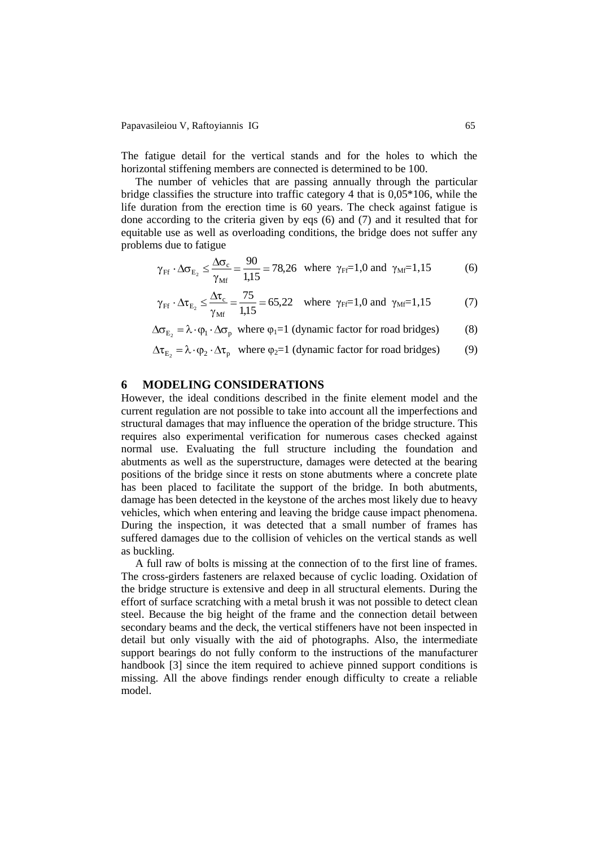The fatigue detail for the vertical stands and for the holes to which the horizontal stiffening members are connected is determined to be 100.

The number of vehicles that are passing annually through the particular bridge classifies the structure into traffic category 4 that is 0,05\*106, while the life duration from the erection time is 60 years. The check against fatigue is done according to the criteria given by eqs (6) and (7) and it resulted that for equitable use as well as overloading conditions, the bridge does not suffer any problems due to fatigue

$$
\gamma_{\text{Ff}} \cdot \Delta \sigma_{\text{E}_2} \le \frac{\Delta \sigma_{\text{c}}}{\gamma_{\text{Mf}}} = \frac{90}{1,15} = 78,26 \text{ where } \gamma_{\text{Ff}} = 1,0 \text{ and } \gamma_{\text{Mf}} = 1,15
$$
 (6)

$$
\gamma_{\text{Ff}} \cdot \Delta \tau_{E_2} \le \frac{\Delta \tau_c}{\gamma_{\text{Mf}}} = \frac{75}{1,15} = 65,22 \text{ where } \gamma_{\text{Ff}} = 1,0 \text{ and } \gamma_{\text{Mf}} = 1,15
$$
 (7)

 $E_2 = \lambda \cdot \varphi_1 \cdot \Delta \sigma_p$  where  $\varphi_1 = 1$  (dynamic factor for road bridges) (8)

$$
\Delta \tau_{E_2} = \lambda \cdot \varphi_2 \cdot \Delta \tau_p \quad \text{where } \varphi_2 = 1 \text{ (dynamic factor for road bridges)} \tag{9}
$$

## **6 MODELING CONSIDERATIONS**

However, the ideal conditions described in the finite element model and the current regulation are not possible to take into account all the imperfections and structural damages that may influence the operation of the bridge structure. This requires also experimental verification for numerous cases checked against normal use. Evaluating the full structure including the foundation and abutments as well as the superstructure, damages were detected at the bearing positions of the bridge since it rests on stone abutments where a concrete plate has been placed to facilitate the support of the bridge. In both abutments, damage has been detected in the keystone of the arches most likely due to heavy vehicles, which when entering and leaving the bridge cause impact phenomena. During the inspection, it was detected that a small number of frames has suffered damages due to the collision of vehicles on the vertical stands as well as buckling.

A full raw of bolts is missing at the connection of to the first line of frames. The cross-girders fasteners are relaxed because of cyclic loading. Oxidation of the bridge structure is extensive and deep in all structural elements. During the effort of surface scratching with a metal brush it was not possible to detect clean steel. Because the big height of the frame and the connection detail between secondary beams and the deck, the vertical stiffeners have not been inspected in detail but only visually with the aid of photographs. Also, the intermediate support bearings do not fully conform to the instructions of the manufacturer handbook [3] since the item required to achieve pinned support conditions is missing. All the above findings render enough difficulty to create a reliable model.